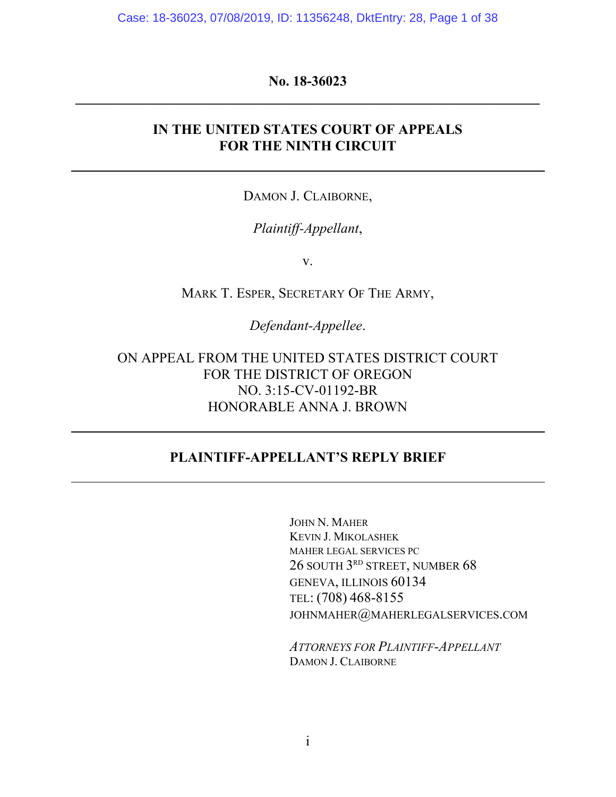Case: 18-36023, 07/08/2019, ID: 11356248, DktEntry: 28, Page 1 of 38

## **No. 18-36023 \_\_\_\_\_\_\_\_\_\_\_\_\_\_\_\_\_\_\_\_\_\_\_\_\_\_\_\_\_\_\_\_\_\_\_\_\_\_\_\_\_\_\_\_\_\_\_\_\_\_\_\_\_\_\_\_\_\_\_\_\_\_\_\_\_\_**

## **IN THE UNITED STATES COURT OF APPEALS FOR THE NINTH CIRCUIT**

DAMON J. CLAIBORNE,

## *Plaintiff-Appellant*,

v.

MARK T. ESPER, SECRETARY OF THE ARMY,

*Defendant-Appellee*.

ON APPEAL FROM THE UNITED STATES DISTRICT COURT FOR THE DISTRICT OF OREGON NO. 3:15-CV-01192-BR HONORABLE ANNA J. BROWN

## **PLAINTIFF-APPELLANT'S REPLY BRIEF**

JOHN N. MAHER KEVIN J. MIKOLASHEK MAHER LEGAL SERVICES PC 26 SOUTH 3<sup>rd</sup> STREET, NUMBER 68 GENEVA, ILLINOIS 60134 TEL: (708) 468-8155 JOHNMAHER@[MAHERLEGALSERVICES](mailto:johnmaher@maherlegalservices.com).COM

*ATTORNEYS FOR PLAINTIFF-APPELLANT* DAMON J. CLAIBORNE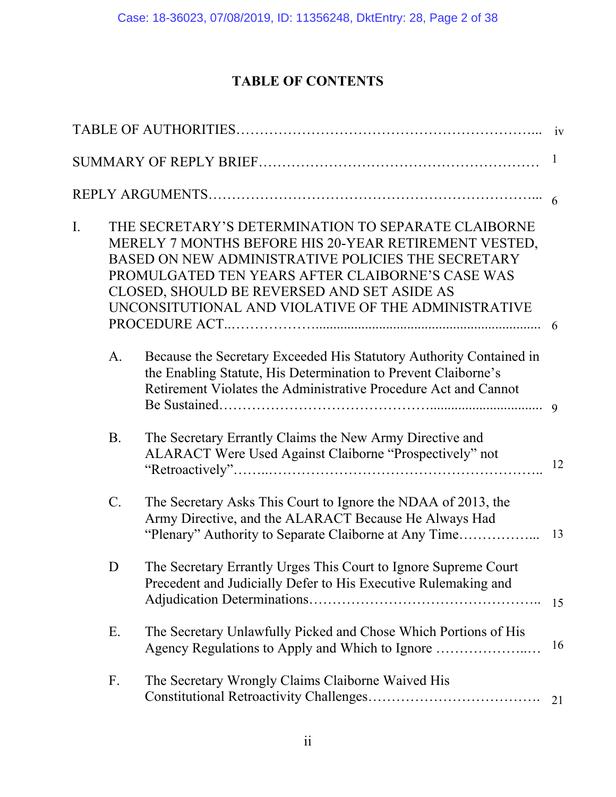# **TABLE OF CONTENTS**

|    |           |                                                                                                                                                                                                                                                                                                                              | 1  |
|----|-----------|------------------------------------------------------------------------------------------------------------------------------------------------------------------------------------------------------------------------------------------------------------------------------------------------------------------------------|----|
|    |           |                                                                                                                                                                                                                                                                                                                              |    |
| I. |           | THE SECRETARY'S DETERMINATION TO SEPARATE CLAIBORNE<br>MERELY 7 MONTHS BEFORE HIS 20-YEAR RETIREMENT VESTED,<br>BASED ON NEW ADMINISTRATIVE POLICIES THE SECRETARY<br>PROMULGATED TEN YEARS AFTER CLAIBORNE'S CASE WAS<br>CLOSED, SHOULD BE REVERSED AND SET ASIDE AS<br>UNCONSITUTIONAL AND VIOLATIVE OF THE ADMINISTRATIVE | 6  |
|    | A.        | Because the Secretary Exceeded His Statutory Authority Contained in<br>the Enabling Statute, His Determination to Prevent Claiborne's<br>Retirement Violates the Administrative Procedure Act and Cannot                                                                                                                     |    |
|    | <b>B.</b> | The Secretary Errantly Claims the New Army Directive and<br>ALARACT Were Used Against Claiborne "Prospectively" not                                                                                                                                                                                                          | 12 |
|    | $C$ .     | The Secretary Asks This Court to Ignore the NDAA of 2013, the<br>Army Directive, and the ALARACT Because He Always Had                                                                                                                                                                                                       | 13 |
|    | D         | The Secretary Errantly Urges This Court to Ignore Supreme Court<br>Precedent and Judicially Defer to His Executive Rulemaking and                                                                                                                                                                                            | 15 |
|    | Ε.        | The Secretary Unlawfully Picked and Chose Which Portions of His                                                                                                                                                                                                                                                              | 16 |
|    | F.        | The Secretary Wrongly Claims Claiborne Waived His                                                                                                                                                                                                                                                                            | 21 |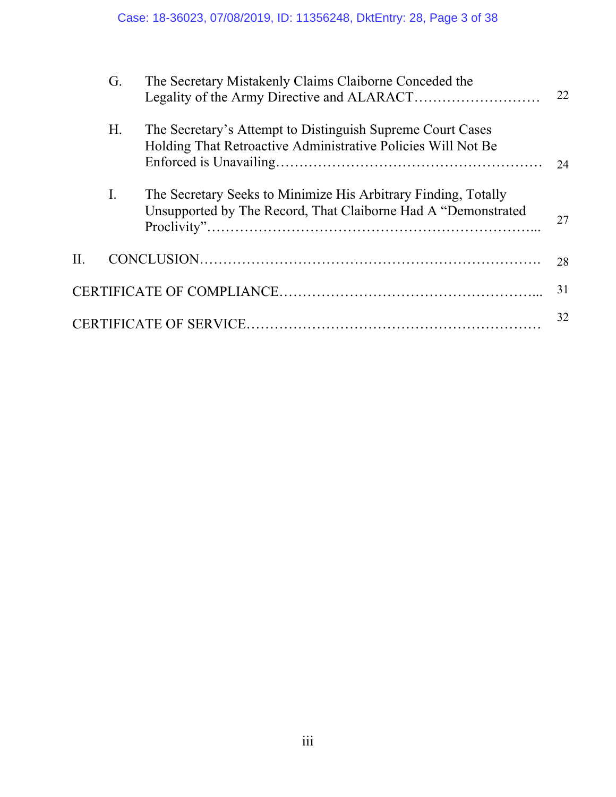|    | G.             | The Secretary Mistakenly Claims Claiborne Conceded the                                                                           | 22 |
|----|----------------|----------------------------------------------------------------------------------------------------------------------------------|----|
|    | H <sub>1</sub> | The Secretary's Attempt to Distinguish Supreme Court Cases<br>Holding That Retroactive Administrative Policies Will Not Be       | 24 |
|    | I.             | The Secretary Seeks to Minimize His Arbitrary Finding, Totally<br>Unsupported by The Record, That Claiborne Had A "Demonstrated" | 27 |
| H. |                |                                                                                                                                  | 28 |
|    |                |                                                                                                                                  | 31 |
|    |                |                                                                                                                                  | 32 |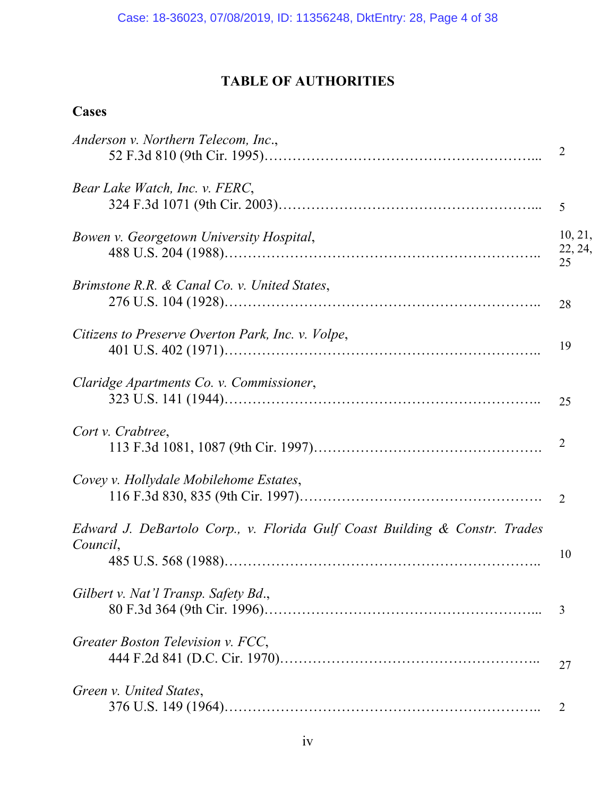# **TABLE OF AUTHORITIES**

# **Cases**

| Anderson v. Northern Telecom, Inc.,                                                    | $\overline{2}$           |
|----------------------------------------------------------------------------------------|--------------------------|
| Bear Lake Watch, Inc. v. FERC,                                                         | 5                        |
| Bowen v. Georgetown University Hospital,                                               | 10, 21,<br>22, 24,<br>25 |
| Brimstone R.R. & Canal Co. v. United States,                                           | 28                       |
| Citizens to Preserve Overton Park, Inc. v. Volpe,                                      | 19                       |
| Claridge Apartments Co. v. Commissioner,                                               | 25                       |
| Cort v. Crabtree,                                                                      | 2                        |
| Covey v. Hollydale Mobilehome Estates,                                                 | 2                        |
| Edward J. DeBartolo Corp., v. Florida Gulf Coast Building & Constr. Trades<br>Council, | 10                       |
| Gilbert v. Nat'l Transp. Safety Bd.,                                                   | 3                        |
| Greater Boston Television v. FCC,                                                      | 27                       |
| Green v. United States,                                                                | $\overline{2}$           |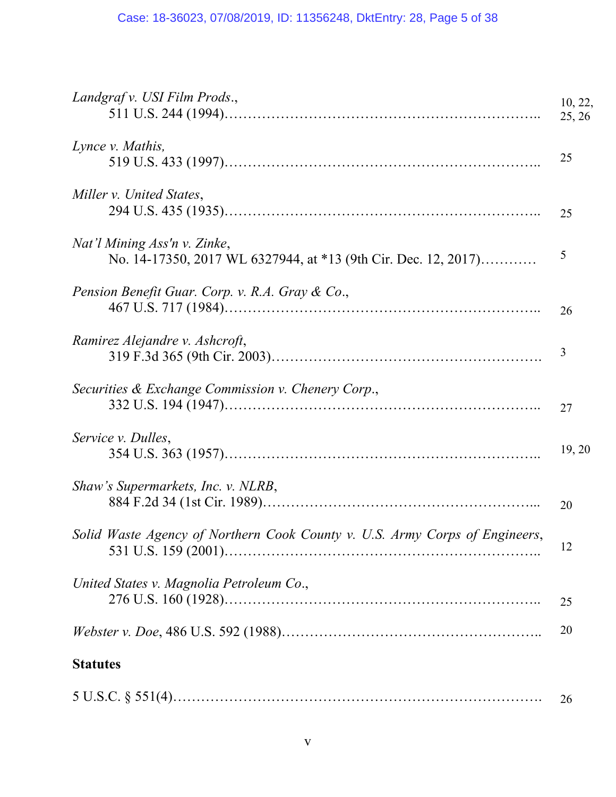| Landgraf v. USI Film Prods.,                                                                   | 10, 22,<br>25, 26 |
|------------------------------------------------------------------------------------------------|-------------------|
| Lynce v. Mathis,                                                                               | 25                |
| Miller v. United States,                                                                       | 25                |
| Nat'l Mining Ass'n v. Zinke,<br>No. 14-17350, 2017 WL 6327944, at *13 (9th Cir. Dec. 12, 2017) | 5                 |
| Pension Benefit Guar. Corp. v. R.A. Gray & Co.,                                                | 26                |
| Ramirez Alejandre v. Ashcroft,                                                                 | 3                 |
| Securities & Exchange Commission v. Chenery Corp.,                                             | 27                |
| Service v. Dulles,                                                                             | 19, 20            |
| Shaw's Supermarkets, Inc. v. NLRB,                                                             | 20                |
| Solid Waste Agency of Northern Cook County v. U.S. Army Corps of Engineers,                    | 12                |
| United States v. Magnolia Petroleum Co.,                                                       | 25                |
|                                                                                                | 20                |
| <b>Statutes</b>                                                                                |                   |

|--|--|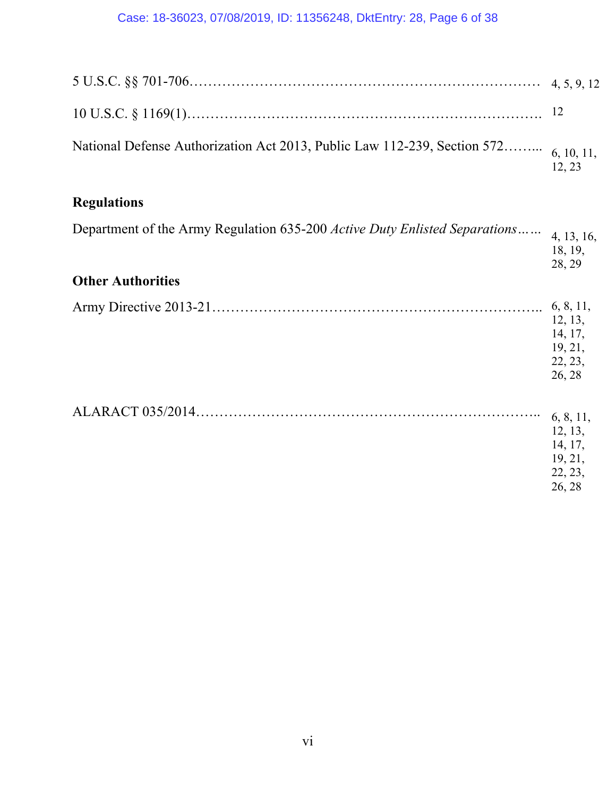# Case: 18-36023, 07/08/2019, ID: 11356248, DktEntry: 28, Page 6 of 38

| National Defense Authorization Act 2013, Public Law 112-239, Section 572 6, 10, 11, | 12.23 |
|-------------------------------------------------------------------------------------|-------|

# **Regulations**

| Department of the Army Regulation 635-200 Active Duty Enlisted Separations<br><b>Other Authorities</b> | 4, 13, 16,<br>18, 19,<br>28, 29                                 |
|--------------------------------------------------------------------------------------------------------|-----------------------------------------------------------------|
|                                                                                                        |                                                                 |
|                                                                                                        | 6, 8, 11,<br>12, 13,<br>14, 17,<br>19, 21,<br>22, 23,<br>26, 28 |
|                                                                                                        | 6, 8, 11,<br>12, 13,<br>14, 17,<br>19, 21,<br>22, 23,<br>26, 28 |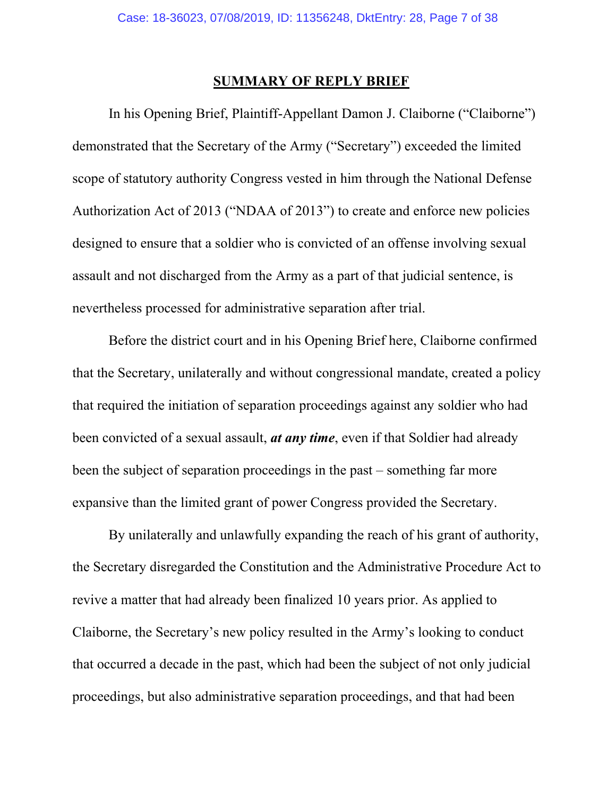### **SUMMARY OF REPLY BRIEF**

In his Opening Brief, Plaintiff-Appellant Damon J. Claiborne ("Claiborne") demonstrated that the Secretary of the Army ("Secretary") exceeded the limited scope of statutory authority Congress vested in him through the National Defense Authorization Act of 2013 ("NDAA of 2013") to create and enforce new policies designed to ensure that a soldier who is convicted of an offense involving sexual assault and not discharged from the Army as a part of that judicial sentence, is nevertheless processed for administrative separation after trial.

Before the district court and in his Opening Brief here, Claiborne confirmed that the Secretary, unilaterally and without congressional mandate, created a policy that required the initiation of separation proceedings against any soldier who had been convicted of a sexual assault, *at any time*, even if that Soldier had already been the subject of separation proceedings in the past – something far more expansive than the limited grant of power Congress provided the Secretary.

By unilaterally and unlawfully expanding the reach of his grant of authority, the Secretary disregarded the Constitution and the Administrative Procedure Act to revive a matter that had already been finalized 10 years prior. As applied to Claiborne, the Secretary's new policy resulted in the Army's looking to conduct that occurred a decade in the past, which had been the subject of not only judicial proceedings, but also administrative separation proceedings, and that had been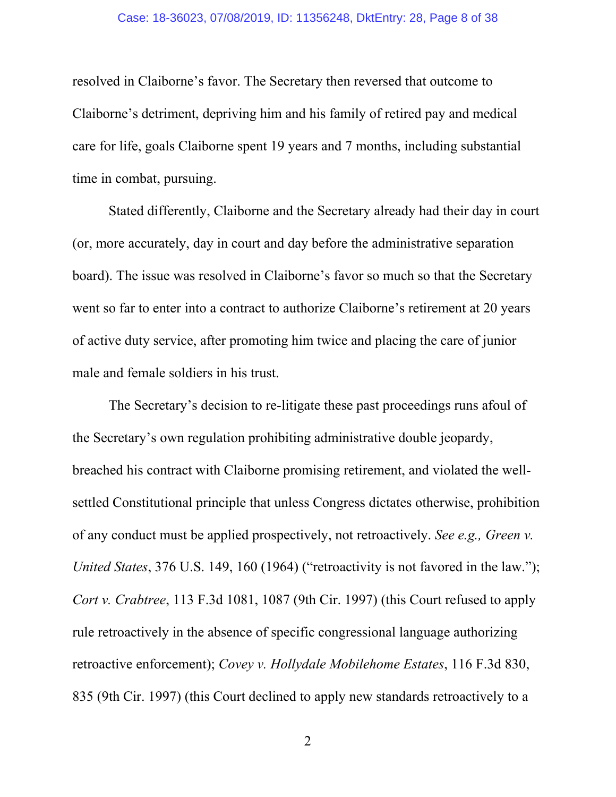#### Case: 18-36023, 07/08/2019, ID: 11356248, DktEntry: 28, Page 8 of 38

resolved in Claiborne's favor. The Secretary then reversed that outcome to Claiborne's detriment, depriving him and his family of retired pay and medical care for life, goals Claiborne spent 19 years and 7 months, including substantial time in combat, pursuing.

Stated differently, Claiborne and the Secretary already had their day in court (or, more accurately, day in court and day before the administrative separation board). The issue was resolved in Claiborne's favor so much so that the Secretary went so far to enter into a contract to authorize Claiborne's retirement at 20 years of active duty service, after promoting him twice and placing the care of junior male and female soldiers in his trust.

The Secretary's decision to re-litigate these past proceedings runs afoul of the Secretary's own regulation prohibiting administrative double jeopardy, breached his contract with Claiborne promising retirement, and violated the wellsettled Constitutional principle that unless Congress dictates otherwise, prohibition of any conduct must be applied prospectively, not retroactively. *See e.g., Green v. United States*, 376 U.S. 149, 160 (1964) ("retroactivity is not favored in the law."); *Cort v. Crabtree*, 113 F.3d 1081, 1087 (9th Cir. 1997) (this Court refused to apply rule retroactively in the absence of specific congressional language authorizing retroactive enforcement); *Covey v. Hollydale Mobilehome Estates*, 116 F.3d 830, 835 (9th Cir. 1997) (this Court declined to apply new standards retroactively to a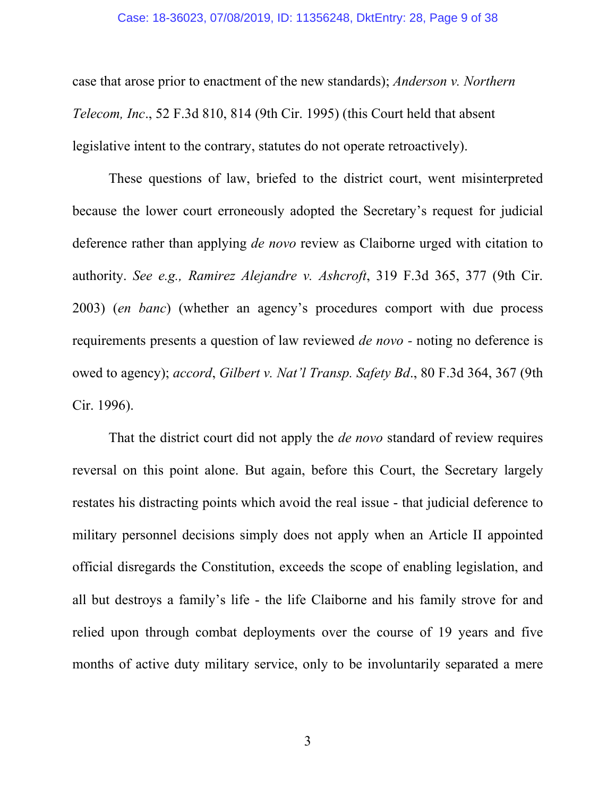#### Case: 18-36023, 07/08/2019, ID: 11356248, DktEntry: 28, Page 9 of 38

case that arose prior to enactment of the new standards); *Anderson v. Northern Telecom, Inc*., 52 F.3d 810, 814 (9th Cir. 1995) (this Court held that absent legislative intent to the contrary, statutes do not operate retroactively).

These questions of law, briefed to the district court, went misinterpreted because the lower court erroneously adopted the Secretary's request for judicial deference rather than applying *de novo* review as Claiborne urged with citation to authority. *See e.g., Ramirez Alejandre v. Ashcroft*, 319 F.3d 365, 377 (9th Cir. 2003) (*en banc*) (whether an agency's procedures comport with due process requirements presents a question of law reviewed *de novo -* noting no deference is owed to agency); *accord*, *Gilbert v. Nat'l Transp. Safety Bd*., 80 F.3d 364, 367 (9th Cir. 1996).

That the district court did not apply the *de novo* standard of review requires reversal on this point alone. But again, before this Court, the Secretary largely restates his distracting points which avoid the real issue - that judicial deference to military personnel decisions simply does not apply when an Article II appointed official disregards the Constitution, exceeds the scope of enabling legislation, and all but destroys a family's life - the life Claiborne and his family strove for and relied upon through combat deployments over the course of 19 years and five months of active duty military service, only to be involuntarily separated a mere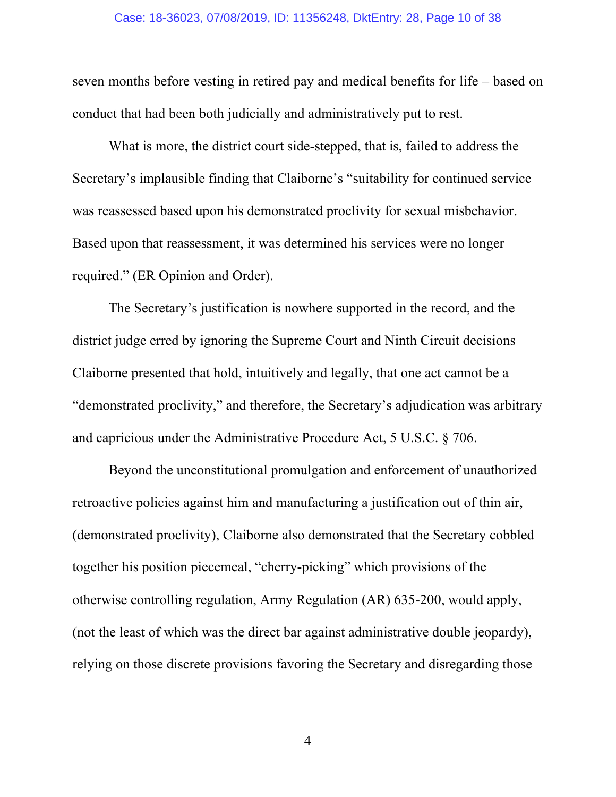#### Case: 18-36023, 07/08/2019, ID: 11356248, DktEntry: 28, Page 10 of 38

seven months before vesting in retired pay and medical benefits for life – based on conduct that had been both judicially and administratively put to rest.

What is more, the district court side-stepped, that is, failed to address the Secretary's implausible finding that Claiborne's "suitability for continued service was reassessed based upon his demonstrated proclivity for sexual misbehavior. Based upon that reassessment, it was determined his services were no longer required." (ER Opinion and Order).

The Secretary's justification is nowhere supported in the record, and the district judge erred by ignoring the Supreme Court and Ninth Circuit decisions Claiborne presented that hold, intuitively and legally, that one act cannot be a "demonstrated proclivity," and therefore, the Secretary's adjudication was arbitrary and capricious under the Administrative Procedure Act, 5 U.S.C. § 706.

Beyond the unconstitutional promulgation and enforcement of unauthorized retroactive policies against him and manufacturing a justification out of thin air, (demonstrated proclivity), Claiborne also demonstrated that the Secretary cobbled together his position piecemeal, "cherry-picking" which provisions of the otherwise controlling regulation, Army Regulation (AR) 635-200, would apply, (not the least of which was the direct bar against administrative double jeopardy), relying on those discrete provisions favoring the Secretary and disregarding those

4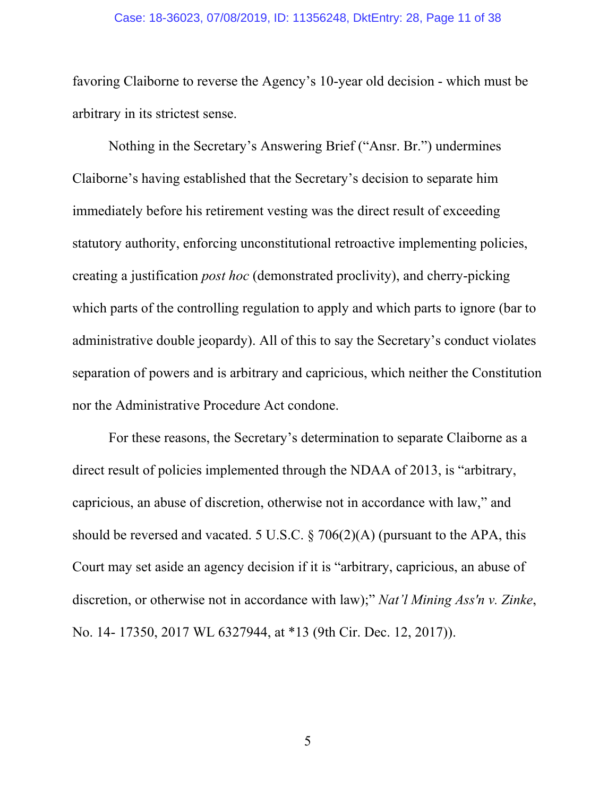#### Case: 18-36023, 07/08/2019, ID: 11356248, DktEntry: 28, Page 11 of 38

favoring Claiborne to reverse the Agency's 10-year old decision - which must be arbitrary in its strictest sense.

Nothing in the Secretary's Answering Brief ("Ansr. Br.") undermines Claiborne's having established that the Secretary's decision to separate him immediately before his retirement vesting was the direct result of exceeding statutory authority, enforcing unconstitutional retroactive implementing policies, creating a justification *post hoc* (demonstrated proclivity), and cherry-picking which parts of the controlling regulation to apply and which parts to ignore (bar to administrative double jeopardy). All of this to say the Secretary's conduct violates separation of powers and is arbitrary and capricious, which neither the Constitution nor the Administrative Procedure Act condone.

For these reasons, the Secretary's determination to separate Claiborne as a direct result of policies implemented through the NDAA of 2013, is "arbitrary, capricious, an abuse of discretion, otherwise not in accordance with law," and should be reversed and vacated. 5 U.S.C.  $\S$  706(2)(A) (pursuant to the APA, this Court may set aside an agency decision if it is "arbitrary, capricious, an abuse of discretion, or otherwise not in accordance with law);" *Nat'l Mining Ass'n v. Zinke*, No. 14- 17350, 2017 WL 6327944, at \*13 (9th Cir. Dec. 12, 2017)).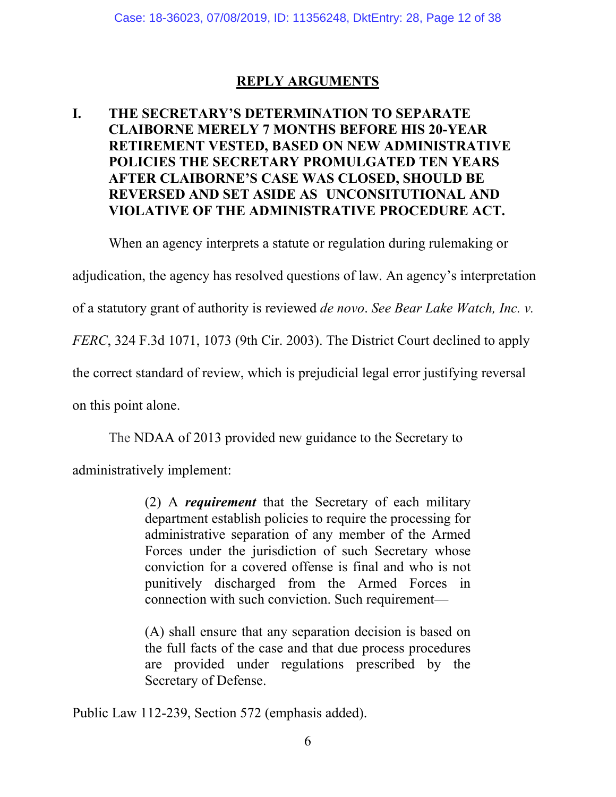## **REPLY ARGUMENTS**

## **I. THE SECRETARY'S DETERMINATION TO SEPARATE CLAIBORNE MERELY 7 MONTHS BEFORE HIS 20-YEAR RETIREMENT VESTED, BASED ON NEW ADMINISTRATIVE POLICIES THE SECRETARY PROMULGATED TEN YEARS AFTER CLAIBORNE'S CASE WAS CLOSED, SHOULD BE REVERSED AND SET ASIDE AS UNCONSITUTIONAL AND VIOLATIVE OF THE ADMINISTRATIVE PROCEDURE ACT.**

When an agency interprets a statute or regulation during rulemaking or

adjudication, the agency has resolved questions of law. An agency's interpretation

of a statutory grant of authority is reviewed *de novo*. *See Bear Lake Watch, Inc. v.* 

*FERC*, 324 F.3d 1071, 1073 (9th Cir. 2003). The District Court declined to apply

the correct standard of review, which is prejudicial legal error justifying reversal

on this point alone.

The NDAA of 2013 provided new guidance to the Secretary to

administratively implement:

(2) A *requirement* that the Secretary of each military department establish policies to require the processing for administrative separation of any member of the Armed Forces under the jurisdiction of such Secretary whose conviction for a covered offense is final and who is not punitively discharged from the Armed Forces in connection with such conviction. Such requirement—

(A) shall ensure that any separation decision is based on the full facts of the case and that due process procedures are provided under regulations prescribed by the Secretary of Defense.

Public Law 112-239, Section 572 (emphasis added).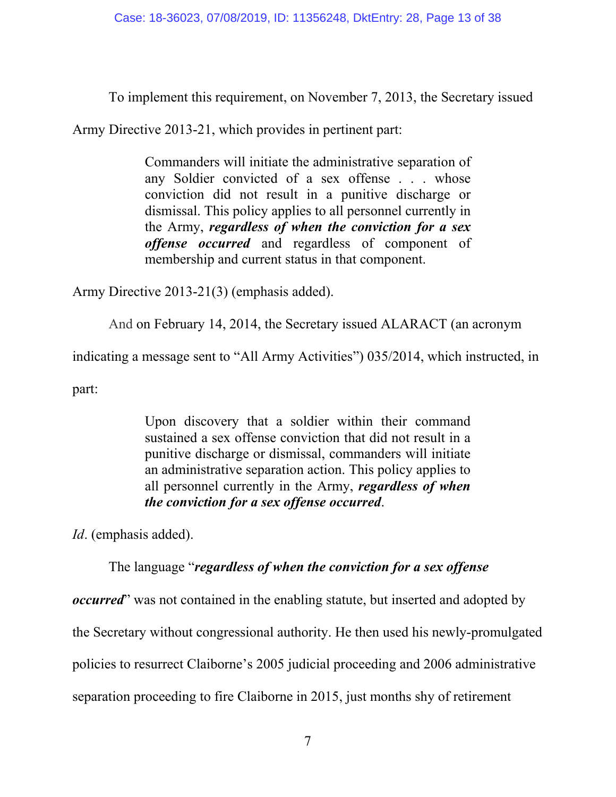To implement this requirement, on November 7, 2013, the Secretary issued

Army Directive 2013-21, which provides in pertinent part:

Commanders will initiate the administrative separation of any Soldier convicted of a sex offense . . . whose conviction did not result in a punitive discharge or dismissal. This policy applies to all personnel currently in the Army, *regardless of when the conviction for a sex offense occurred* and regardless of component of membership and current status in that component.

Army Directive 2013-21(3) (emphasis added).

And on February 14, 2014, the Secretary issued ALARACT (an acronym

indicating a message sent to "All Army Activities") 035/2014, which instructed, in

part:

Upon discovery that a soldier within their command sustained a sex offense conviction that did not result in a punitive discharge or dismissal, commanders will initiate an administrative separation action. This policy applies to all personnel currently in the Army, *regardless of when the conviction for a sex offense occurred*.

*Id*. (emphasis added).

The language "*regardless of when the conviction for a sex offense* 

*occurred*" was not contained in the enabling statute, but inserted and adopted by

the Secretary without congressional authority. He then used his newly-promulgated

policies to resurrect Claiborne's 2005 judicial proceeding and 2006 administrative

separation proceeding to fire Claiborne in 2015, just months shy of retirement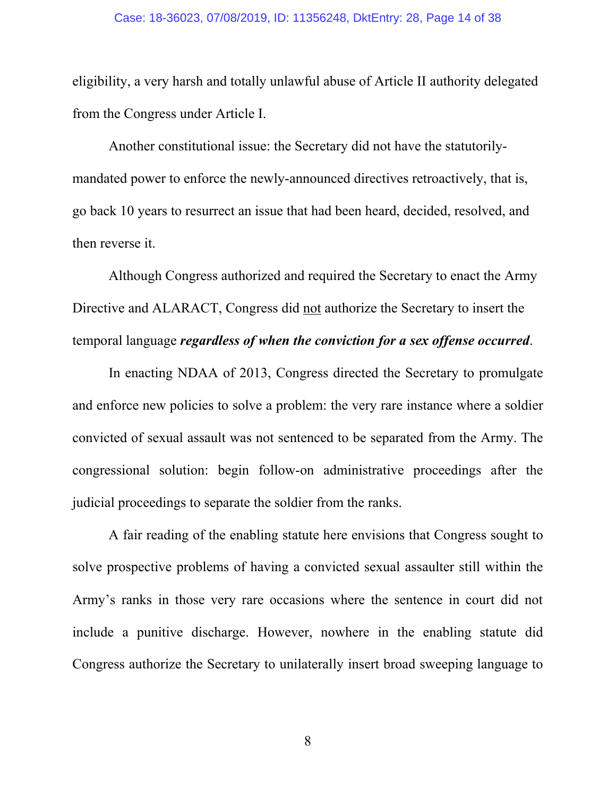eligibility, a very harsh and totally unlawful abuse of Article II authority delegated from the Congress under Article I.

Another constitutional issue: the Secretary did not have the statutorilymandated power to enforce the newly-announced directives retroactively, that is, go back 10 years to resurrect an issue that had been heard, decided, resolved, and then reverse it.

Although Congress authorized and required the Secretary to enact the Army Directive and ALARACT, Congress did not authorize the Secretary to insert the temporal language *regardless of when the conviction for a sex offense occurred*.

In enacting NDAA of 2013, Congress directed the Secretary to promulgate and enforce new policies to solve a problem: the very rare instance where a soldier convicted of sexual assault was not sentenced to be separated from the Army. The congressional solution: begin follow-on administrative proceedings after the judicial proceedings to separate the soldier from the ranks.

A fair reading of the enabling statute here envisions that Congress sought to solve prospective problems of having a convicted sexual assaulter still within the Army's ranks in those very rare occasions where the sentence in court did not include a punitive discharge. However, nowhere in the enabling statute did Congress authorize the Secretary to unilaterally insert broad sweeping language to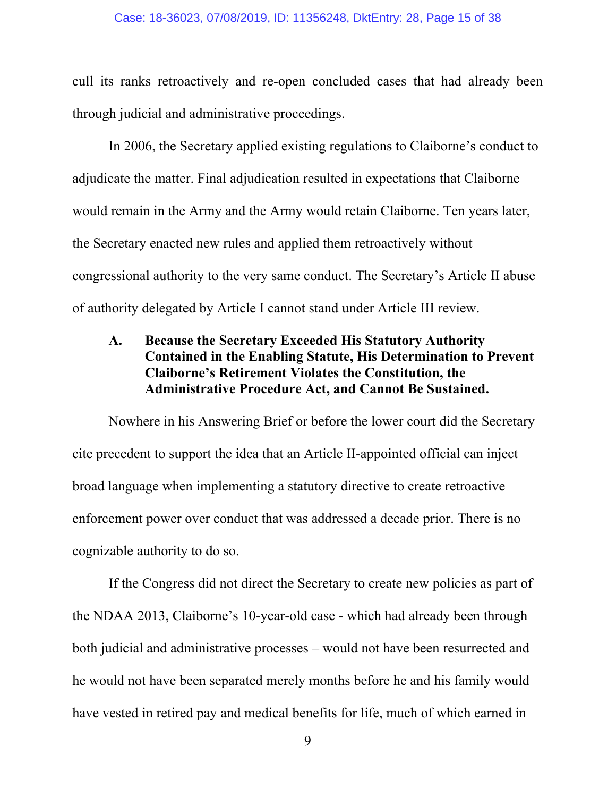#### Case: 18-36023, 07/08/2019, ID: 11356248, DktEntry: 28, Page 15 of 38

cull its ranks retroactively and re-open concluded cases that had already been through judicial and administrative proceedings.

In 2006, the Secretary applied existing regulations to Claiborne's conduct to adjudicate the matter. Final adjudication resulted in expectations that Claiborne would remain in the Army and the Army would retain Claiborne. Ten years later, the Secretary enacted new rules and applied them retroactively without congressional authority to the very same conduct. The Secretary's Article II abuse of authority delegated by Article I cannot stand under Article III review.

## **A. Because the Secretary Exceeded His Statutory Authority Contained in the Enabling Statute, His Determination to Prevent Claiborne's Retirement Violates the Constitution, the Administrative Procedure Act, and Cannot Be Sustained.**

Nowhere in his Answering Brief or before the lower court did the Secretary cite precedent to support the idea that an Article II-appointed official can inject broad language when implementing a statutory directive to create retroactive enforcement power over conduct that was addressed a decade prior. There is no cognizable authority to do so.

If the Congress did not direct the Secretary to create new policies as part of the NDAA 2013, Claiborne's 10-year-old case - which had already been through both judicial and administrative processes – would not have been resurrected and he would not have been separated merely months before he and his family would have vested in retired pay and medical benefits for life, much of which earned in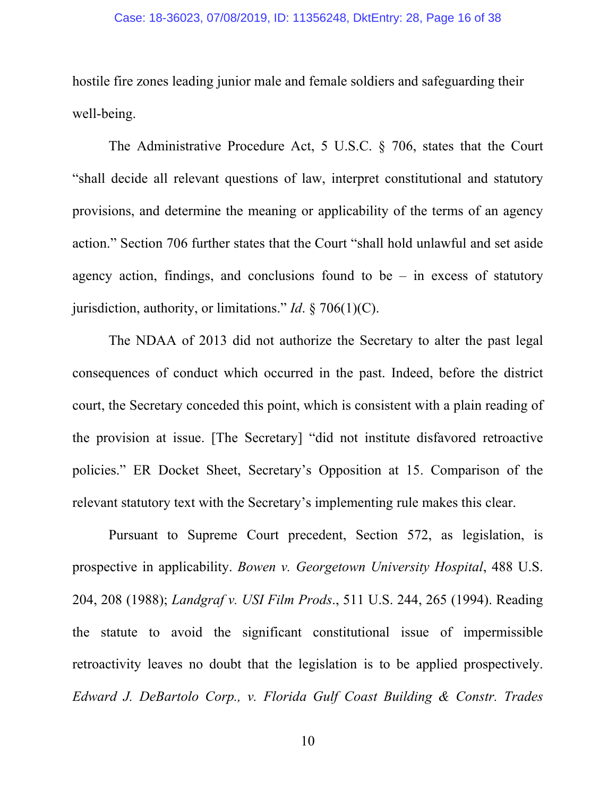hostile fire zones leading junior male and female soldiers and safeguarding their well-being.

The Administrative Procedure Act, 5 U.S.C. § 706, states that the Court "shall decide all relevant questions of law, interpret constitutional and statutory provisions, and determine the meaning or applicability of the terms of an agency action." Section 706 further states that the Court "shall hold unlawful and set aside agency action, findings, and conclusions found to be  $-$  in excess of statutory jurisdiction, authority, or limitations." *Id*. § 706(1)(C).

The NDAA of 2013 did not authorize the Secretary to alter the past legal consequences of conduct which occurred in the past. Indeed, before the district court, the Secretary conceded this point, which is consistent with a plain reading of the provision at issue. [The Secretary] "did not institute disfavored retroactive policies." ER Docket Sheet, Secretary's Opposition at 15. Comparison of the relevant statutory text with the Secretary's implementing rule makes this clear.

Pursuant to Supreme Court precedent, Section 572, as legislation, is prospective in applicability. *Bowen v. Georgetown University Hospital*, 488 U.S. 204, 208 (1988); *Landgraf v. USI Film Prods*., 511 U.S. 244, 265 (1994). Reading the statute to avoid the significant constitutional issue of impermissible retroactivity leaves no doubt that the legislation is to be applied prospectively. *Edward J. DeBartolo Corp., v. Florida Gulf Coast Building & Constr. Trades*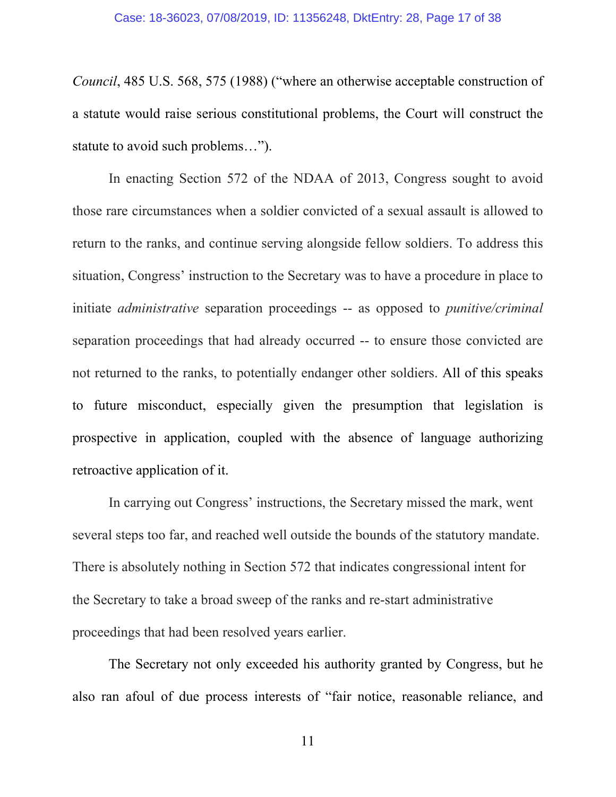*Council*, 485 U.S. 568, 575 (1988) ("where an otherwise acceptable construction of a statute would raise serious constitutional problems, the Court will construct the statute to avoid such problems…").

In enacting Section 572 of the NDAA of 2013, Congress sought to avoid those rare circumstances when a soldier convicted of a sexual assault is allowed to return to the ranks, and continue serving alongside fellow soldiers. To address this situation, Congress' instruction to the Secretary was to have a procedure in place to initiate *administrative* separation proceedings -- as opposed to *punitive/criminal* separation proceedings that had already occurred -- to ensure those convicted are not returned to the ranks, to potentially endanger other soldiers. All of this speaks to future misconduct, especially given the presumption that legislation is prospective in application, coupled with the absence of language authorizing retroactive application of it.

In carrying out Congress' instructions, the Secretary missed the mark, went several steps too far, and reached well outside the bounds of the statutory mandate. There is absolutely nothing in Section 572 that indicates congressional intent for the Secretary to take a broad sweep of the ranks and re-start administrative proceedings that had been resolved years earlier.

The Secretary not only exceeded his authority granted by Congress, but he also ran afoul of due process interests of "fair notice, reasonable reliance, and

11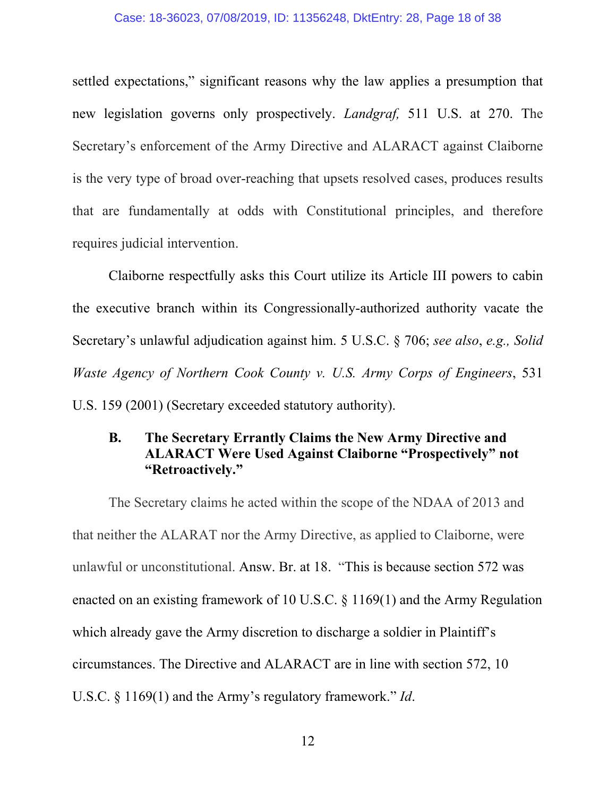#### Case: 18-36023, 07/08/2019, ID: 11356248, DktEntry: 28, Page 18 of 38

settled expectations," significant reasons why the law applies a presumption that new legislation governs only prospectively. *Landgraf,* 511 U.S. at 270. The Secretary's enforcement of the Army Directive and ALARACT against Claiborne is the very type of broad over-reaching that upsets resolved cases, produces results that are fundamentally at odds with Constitutional principles, and therefore requires judicial intervention.

Claiborne respectfully asks this Court utilize its Article III powers to cabin the executive branch within its Congressionally-authorized authority vacate the Secretary's unlawful adjudication against him. 5 U.S.C. § 706; *see also*, *e.g., Solid Waste Agency of Northern Cook County v. U.S. Army Corps of Engineers*, 531 U.S. 159 (2001) (Secretary exceeded statutory authority).

## **B. The Secretary Errantly Claims the New Army Directive and ALARACT Were Used Against Claiborne "Prospectively" not "Retroactively."**

The Secretary claims he acted within the scope of the NDAA of 2013 and that neither the ALARAT nor the Army Directive, as applied to Claiborne, were unlawful or unconstitutional. Answ. Br. at 18. "This is because section 572 was enacted on an existing framework of 10 U.S.C. § 1169(1) and the Army Regulation which already gave the Army discretion to discharge a soldier in Plaintiff's circumstances. The Directive and ALARACT are in line with section 572, 10 U.S.C. § 1169(1) and the Army's regulatory framework." *Id*.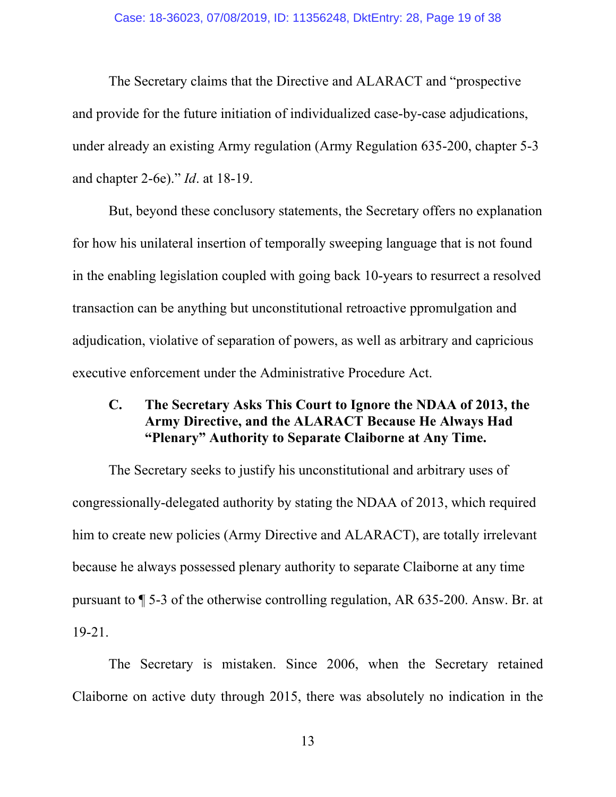#### Case: 18-36023, 07/08/2019, ID: 11356248, DktEntry: 28, Page 19 of 38

The Secretary claims that the Directive and ALARACT and "prospective and provide for the future initiation of individualized case-by-case adjudications, under already an existing Army regulation (Army Regulation 635-200, chapter 5-3 and chapter 2-6e)." *Id*. at 18-19.

But, beyond these conclusory statements, the Secretary offers no explanation for how his unilateral insertion of temporally sweeping language that is not found in the enabling legislation coupled with going back 10-years to resurrect a resolved transaction can be anything but unconstitutional retroactive ppromulgation and adjudication, violative of separation of powers, as well as arbitrary and capricious executive enforcement under the Administrative Procedure Act.

## **C. The Secretary Asks This Court to Ignore the NDAA of 2013, the Army Directive, and the ALARACT Because He Always Had "Plenary" Authority to Separate Claiborne at Any Time.**

The Secretary seeks to justify his unconstitutional and arbitrary uses of congressionally-delegated authority by stating the NDAA of 2013, which required him to create new policies (Army Directive and ALARACT), are totally irrelevant because he always possessed plenary authority to separate Claiborne at any time pursuant to ¶ 5-3 of the otherwise controlling regulation, AR 635-200. Answ. Br. at 19-21.

The Secretary is mistaken. Since 2006, when the Secretary retained Claiborne on active duty through 2015, there was absolutely no indication in the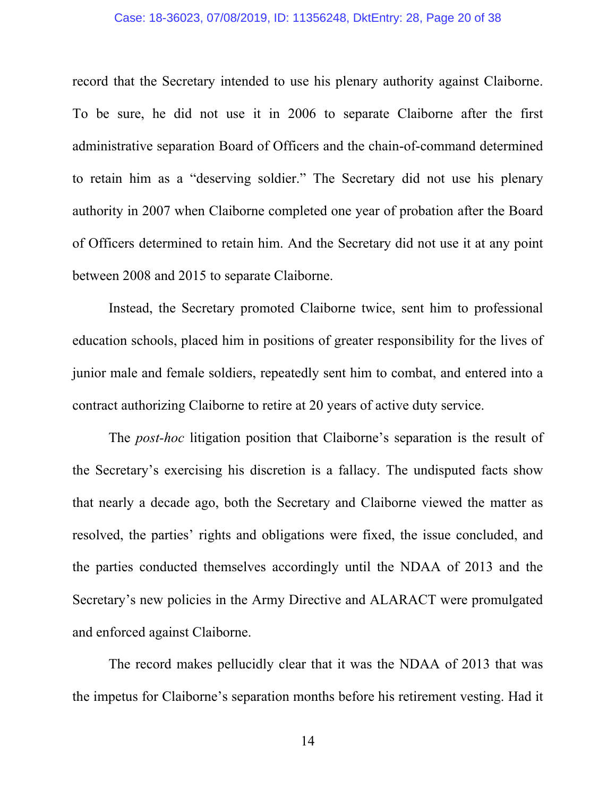#### Case: 18-36023, 07/08/2019, ID: 11356248, DktEntry: 28, Page 20 of 38

record that the Secretary intended to use his plenary authority against Claiborne. To be sure, he did not use it in 2006 to separate Claiborne after the first administrative separation Board of Officers and the chain-of-command determined to retain him as a "deserving soldier." The Secretary did not use his plenary authority in 2007 when Claiborne completed one year of probation after the Board of Officers determined to retain him. And the Secretary did not use it at any point between 2008 and 2015 to separate Claiborne.

Instead, the Secretary promoted Claiborne twice, sent him to professional education schools, placed him in positions of greater responsibility for the lives of junior male and female soldiers, repeatedly sent him to combat, and entered into a contract authorizing Claiborne to retire at 20 years of active duty service.

The *post-hoc* litigation position that Claiborne's separation is the result of the Secretary's exercising his discretion is a fallacy. The undisputed facts show that nearly a decade ago, both the Secretary and Claiborne viewed the matter as resolved, the parties' rights and obligations were fixed, the issue concluded, and the parties conducted themselves accordingly until the NDAA of 2013 and the Secretary's new policies in the Army Directive and ALARACT were promulgated and enforced against Claiborne.

The record makes pellucidly clear that it was the NDAA of 2013 that was the impetus for Claiborne's separation months before his retirement vesting. Had it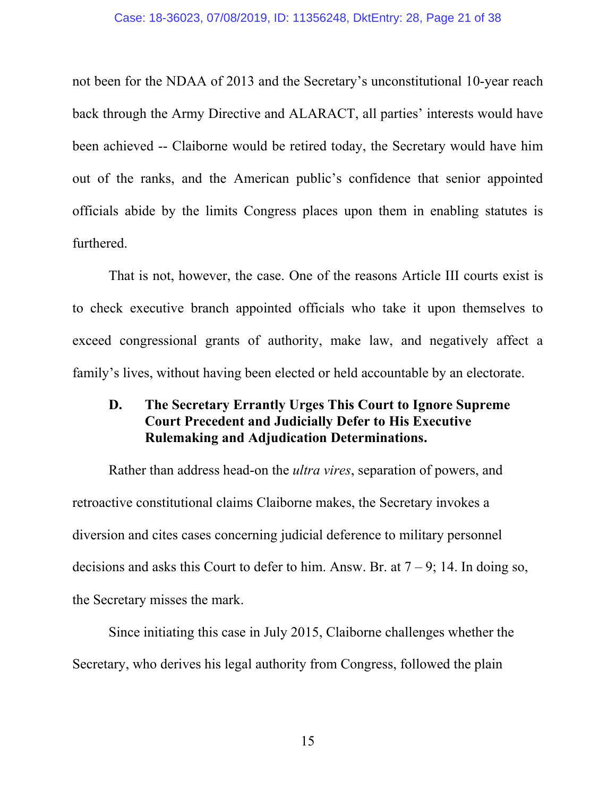not been for the NDAA of 2013 and the Secretary's unconstitutional 10-year reach back through the Army Directive and ALARACT, all parties' interests would have been achieved -- Claiborne would be retired today, the Secretary would have him out of the ranks, and the American public's confidence that senior appointed officials abide by the limits Congress places upon them in enabling statutes is furthered.

That is not, however, the case. One of the reasons Article III courts exist is to check executive branch appointed officials who take it upon themselves to exceed congressional grants of authority, make law, and negatively affect a family's lives, without having been elected or held accountable by an electorate.

## **D. The Secretary Errantly Urges This Court to Ignore Supreme Court Precedent and Judicially Defer to His Executive Rulemaking and Adjudication Determinations.**

Rather than address head-on the *ultra vires*, separation of powers, and retroactive constitutional claims Claiborne makes, the Secretary invokes a diversion and cites cases concerning judicial deference to military personnel decisions and asks this Court to defer to him. Answ. Br. at  $7 - 9$ ; 14. In doing so, the Secretary misses the mark.

Since initiating this case in July 2015, Claiborne challenges whether the Secretary, who derives his legal authority from Congress, followed the plain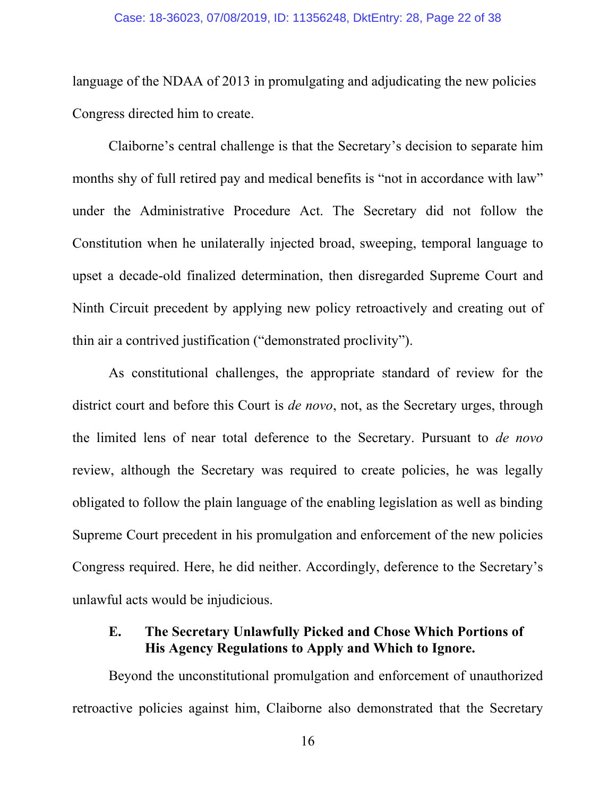language of the NDAA of 2013 in promulgating and adjudicating the new policies Congress directed him to create.

Claiborne's central challenge is that the Secretary's decision to separate him months shy of full retired pay and medical benefits is "not in accordance with law" under the Administrative Procedure Act. The Secretary did not follow the Constitution when he unilaterally injected broad, sweeping, temporal language to upset a decade-old finalized determination, then disregarded Supreme Court and Ninth Circuit precedent by applying new policy retroactively and creating out of thin air a contrived justification ("demonstrated proclivity").

As constitutional challenges, the appropriate standard of review for the district court and before this Court is *de novo*, not, as the Secretary urges, through the limited lens of near total deference to the Secretary. Pursuant to *de novo* review, although the Secretary was required to create policies, he was legally obligated to follow the plain language of the enabling legislation as well as binding Supreme Court precedent in his promulgation and enforcement of the new policies Congress required. Here, he did neither. Accordingly, deference to the Secretary's unlawful acts would be injudicious.

## **E. The Secretary Unlawfully Picked and Chose Which Portions of His Agency Regulations to Apply and Which to Ignore.**

Beyond the unconstitutional promulgation and enforcement of unauthorized retroactive policies against him, Claiborne also demonstrated that the Secretary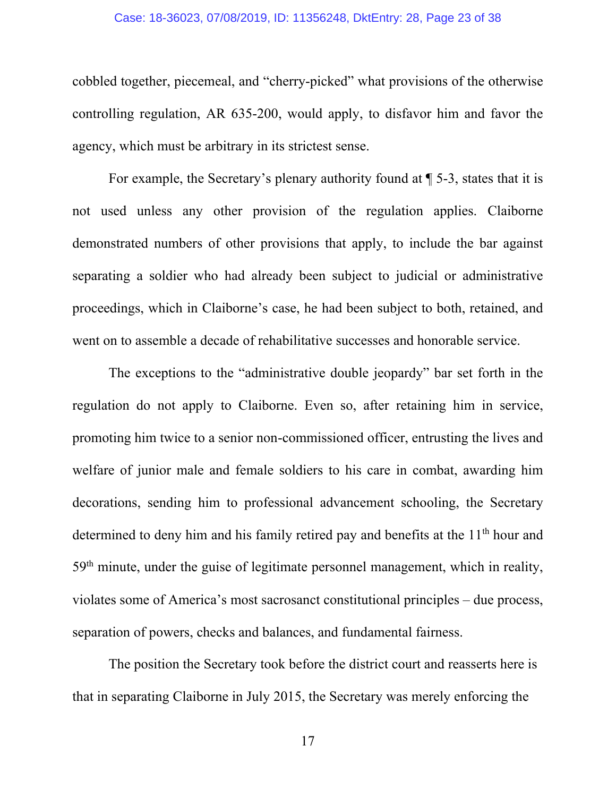#### Case: 18-36023, 07/08/2019, ID: 11356248, DktEntry: 28, Page 23 of 38

cobbled together, piecemeal, and "cherry-picked" what provisions of the otherwise controlling regulation, AR 635-200, would apply, to disfavor him and favor the agency, which must be arbitrary in its strictest sense.

For example, the Secretary's plenary authority found at ¶ 5-3, states that it is not used unless any other provision of the regulation applies. Claiborne demonstrated numbers of other provisions that apply, to include the bar against separating a soldier who had already been subject to judicial or administrative proceedings, which in Claiborne's case, he had been subject to both, retained, and went on to assemble a decade of rehabilitative successes and honorable service.

The exceptions to the "administrative double jeopardy" bar set forth in the regulation do not apply to Claiborne. Even so, after retaining him in service, promoting him twice to a senior non-commissioned officer, entrusting the lives and welfare of junior male and female soldiers to his care in combat, awarding him decorations, sending him to professional advancement schooling, the Secretary determined to deny him and his family retired pay and benefits at the 11<sup>th</sup> hour and 59th minute, under the guise of legitimate personnel management, which in reality, violates some of America's most sacrosanct constitutional principles – due process, separation of powers, checks and balances, and fundamental fairness.

The position the Secretary took before the district court and reasserts here is that in separating Claiborne in July 2015, the Secretary was merely enforcing the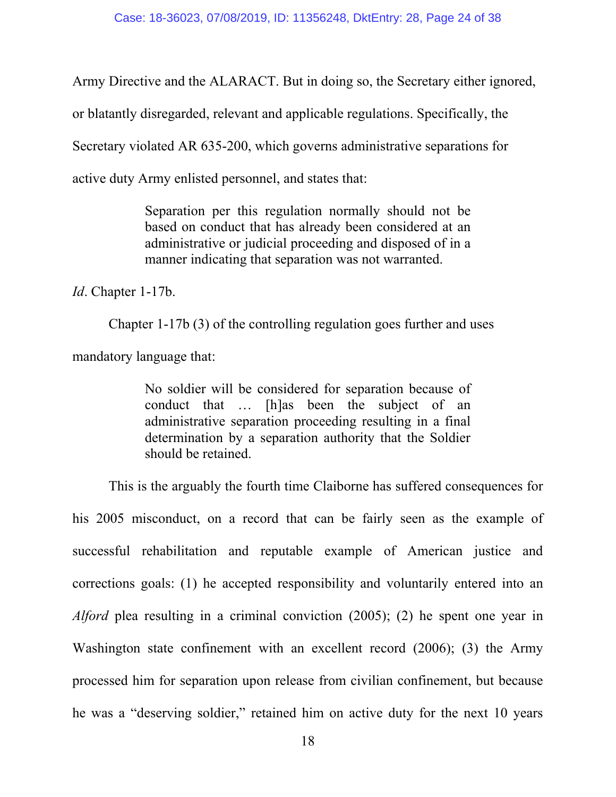Army Directive and the ALARACT. But in doing so, the Secretary either ignored, or blatantly disregarded, relevant and applicable regulations. Specifically, the Secretary violated AR 635-200, which governs administrative separations for active duty Army enlisted personnel, and states that:

> Separation per this regulation normally should not be based on conduct that has already been considered at an administrative or judicial proceeding and disposed of in a manner indicating that separation was not warranted.

*Id*. Chapter 1-17b.

Chapter 1-17b (3) of the controlling regulation goes further and uses mandatory language that:

> No soldier will be considered for separation because of conduct that … [h]as been the subject of an administrative separation proceeding resulting in a final determination by a separation authority that the Soldier should be retained.

This is the arguably the fourth time Claiborne has suffered consequences for his 2005 misconduct, on a record that can be fairly seen as the example of successful rehabilitation and reputable example of American justice and corrections goals: (1) he accepted responsibility and voluntarily entered into an *Alford* plea resulting in a criminal conviction (2005); (2) he spent one year in Washington state confinement with an excellent record (2006); (3) the Army processed him for separation upon release from civilian confinement, but because he was a "deserving soldier," retained him on active duty for the next 10 years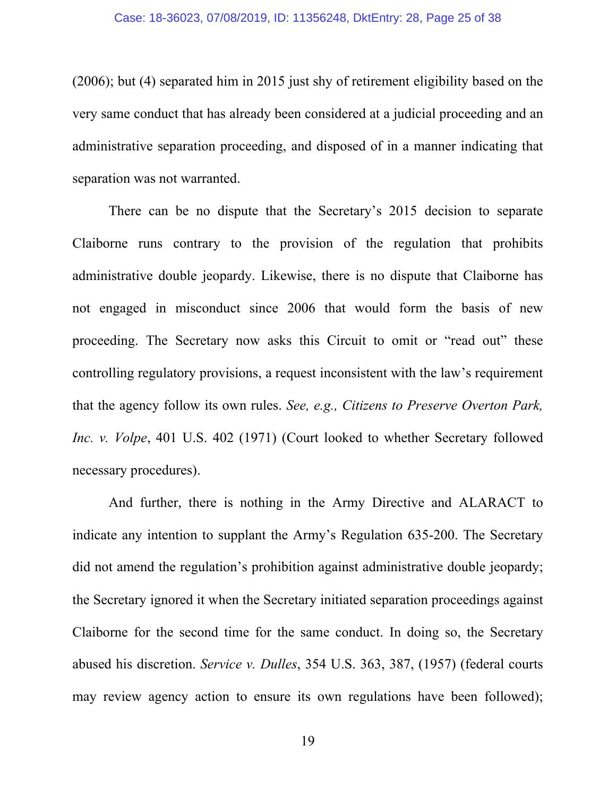#### Case: 18-36023, 07/08/2019, ID: 11356248, DktEntry: 28, Page 25 of 38

(2006); but (4) separated him in 2015 just shy of retirement eligibility based on the very same conduct that has already been considered at a judicial proceeding and an administrative separation proceeding, and disposed of in a manner indicating that separation was not warranted.

There can be no dispute that the Secretary's 2015 decision to separate Claiborne runs contrary to the provision of the regulation that prohibits administrative double jeopardy. Likewise, there is no dispute that Claiborne has not engaged in misconduct since 2006 that would form the basis of new proceeding. The Secretary now asks this Circuit to omit or "read out" these controlling regulatory provisions, a request inconsistent with the law's requirement that the agency follow its own rules. *See, e.g., Citizens to Preserve Overton Park, Inc. v. Volpe*, 401 U.S. 402 (1971) (Court looked to whether Secretary followed necessary procedures).

And further, there is nothing in the Army Directive and ALARACT to indicate any intention to supplant the Army's Regulation 635-200. The Secretary did not amend the regulation's prohibition against administrative double jeopardy; the Secretary ignored it when the Secretary initiated separation proceedings against Claiborne for the second time for the same conduct. In doing so, the Secretary abused his discretion. *Service v. Dulles*, 354 U.S. 363, 387, (1957) (federal courts may review agency action to ensure its own regulations have been followed);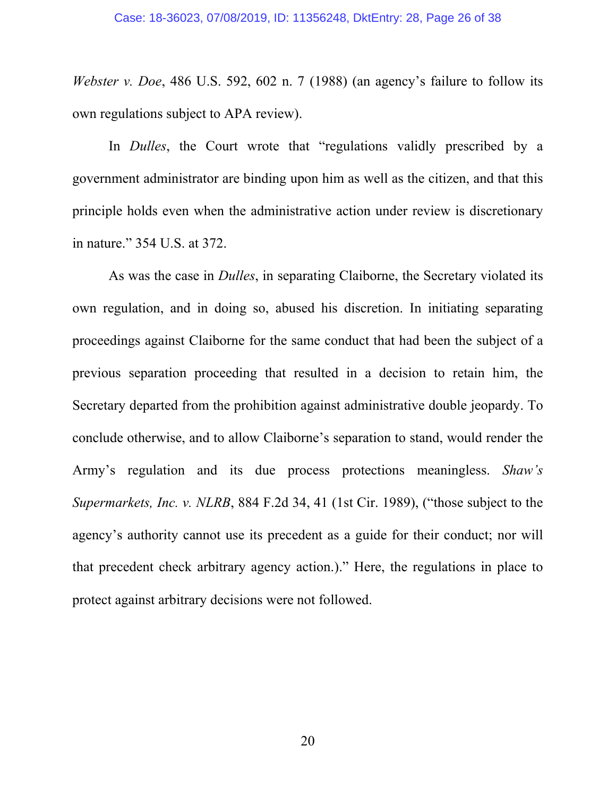*Webster v. Doe*, 486 U.S. 592, 602 n. 7 (1988) (an agency's failure to follow its own regulations subject to APA review).

In *Dulles*, the Court wrote that "regulations validly prescribed by a government administrator are binding upon him as well as the citizen, and that this principle holds even when the administrative action under review is discretionary in nature." 354 U.S. at 372.

As was the case in *Dulles*, in separating Claiborne, the Secretary violated its own regulation, and in doing so, abused his discretion. In initiating separating proceedings against Claiborne for the same conduct that had been the subject of a previous separation proceeding that resulted in a decision to retain him, the Secretary departed from the prohibition against administrative double jeopardy. To conclude otherwise, and to allow Claiborne's separation to stand, would render the Army's regulation and its due process protections meaningless. *Shaw's Supermarkets, Inc. v. NLRB*, 884 F.2d 34, 41 (1st Cir. 1989), ("those subject to the agency's authority cannot use its precedent as a guide for their conduct; nor will that precedent check arbitrary agency action.)." Here, the regulations in place to protect against arbitrary decisions were not followed.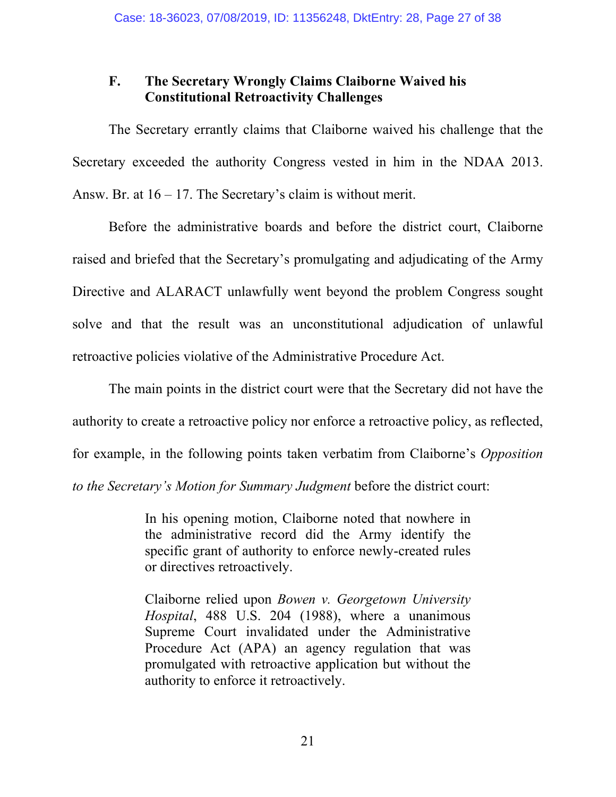## **F. The Secretary Wrongly Claims Claiborne Waived his Constitutional Retroactivity Challenges**

The Secretary errantly claims that Claiborne waived his challenge that the Secretary exceeded the authority Congress vested in him in the NDAA 2013. Answ. Br. at  $16 - 17$ . The Secretary's claim is without merit.

Before the administrative boards and before the district court, Claiborne raised and briefed that the Secretary's promulgating and adjudicating of the Army Directive and ALARACT unlawfully went beyond the problem Congress sought solve and that the result was an unconstitutional adjudication of unlawful retroactive policies violative of the Administrative Procedure Act.

The main points in the district court were that the Secretary did not have the authority to create a retroactive policy nor enforce a retroactive policy, as reflected, for example, in the following points taken verbatim from Claiborne's *Opposition to the Secretary's Motion for Summary Judgment* before the district court:

> In his opening motion, Claiborne noted that nowhere in the administrative record did the Army identify the specific grant of authority to enforce newly-created rules or directives retroactively.

> Claiborne relied upon *Bowen v. Georgetown University Hospital*, 488 U.S. 204 (1988), where a unanimous Supreme Court invalidated under the Administrative Procedure Act (APA) an agency regulation that was promulgated with retroactive application but without the authority to enforce it retroactively.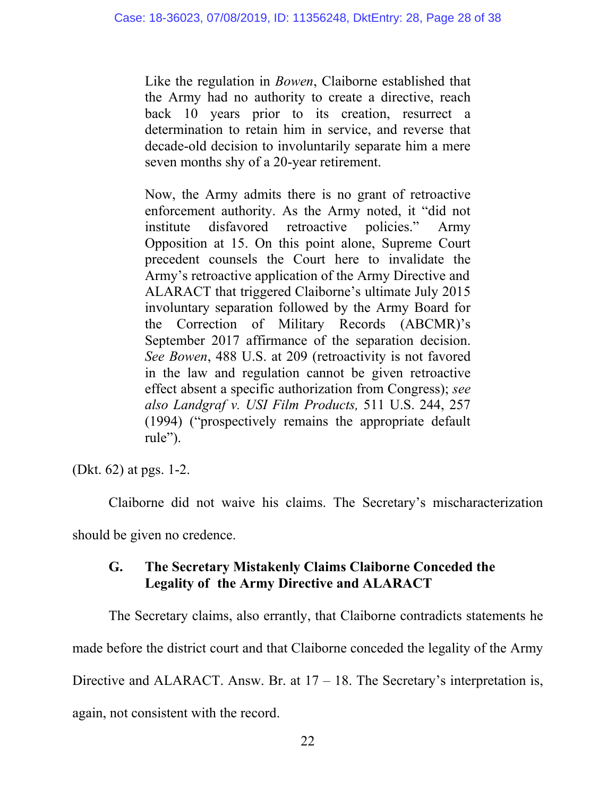Like the regulation in *Bowen*, Claiborne established that the Army had no authority to create a directive, reach back 10 years prior to its creation, resurrect a determination to retain him in service, and reverse that decade-old decision to involuntarily separate him a mere seven months shy of a 20-year retirement.

Now, the Army admits there is no grant of retroactive enforcement authority. As the Army noted, it "did not institute disfavored retroactive policies." Army Opposition at 15. On this point alone, Supreme Court precedent counsels the Court here to invalidate the Army's retroactive application of the Army Directive and ALARACT that triggered Claiborne's ultimate July 2015 involuntary separation followed by the Army Board for the Correction of Military Records (ABCMR)'s September 2017 affirmance of the separation decision. *See Bowen*, 488 U.S. at 209 (retroactivity is not favored in the law and regulation cannot be given retroactive effect absent a specific authorization from Congress); *see also Landgraf v. USI Film Products,* 511 U.S. 244, 257 (1994) ("prospectively remains the appropriate default rule").

(Dkt. 62) at pgs. 1-2.

Claiborne did not waive his claims. The Secretary's mischaracterization should be given no credence.

## **G. The Secretary Mistakenly Claims Claiborne Conceded the Legality of the Army Directive and ALARACT**

The Secretary claims, also errantly, that Claiborne contradicts statements he made before the district court and that Claiborne conceded the legality of the Army Directive and ALARACT. Answ. Br. at  $17 - 18$ . The Secretary's interpretation is,

again, not consistent with the record.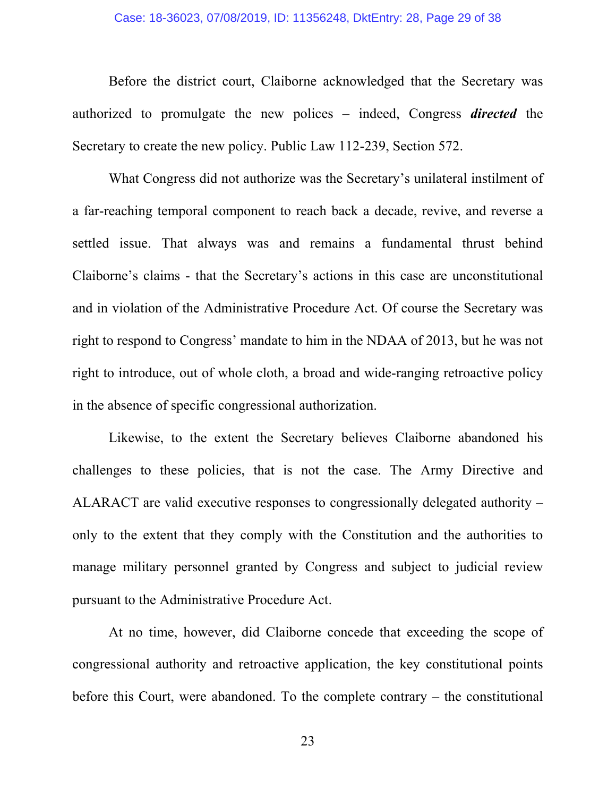#### Case: 18-36023, 07/08/2019, ID: 11356248, DktEntry: 28, Page 29 of 38

Before the district court, Claiborne acknowledged that the Secretary was authorized to promulgate the new polices – indeed, Congress *directed* the Secretary to create the new policy. Public Law 112-239, Section 572.

What Congress did not authorize was the Secretary's unilateral instilment of a far-reaching temporal component to reach back a decade, revive, and reverse a settled issue. That always was and remains a fundamental thrust behind Claiborne's claims - that the Secretary's actions in this case are unconstitutional and in violation of the Administrative Procedure Act. Of course the Secretary was right to respond to Congress' mandate to him in the NDAA of 2013, but he was not right to introduce, out of whole cloth, a broad and wide-ranging retroactive policy in the absence of specific congressional authorization.

Likewise, to the extent the Secretary believes Claiborne abandoned his challenges to these policies, that is not the case. The Army Directive and ALARACT are valid executive responses to congressionally delegated authority – only to the extent that they comply with the Constitution and the authorities to manage military personnel granted by Congress and subject to judicial review pursuant to the Administrative Procedure Act.

At no time, however, did Claiborne concede that exceeding the scope of congressional authority and retroactive application, the key constitutional points before this Court, were abandoned. To the complete contrary – the constitutional

23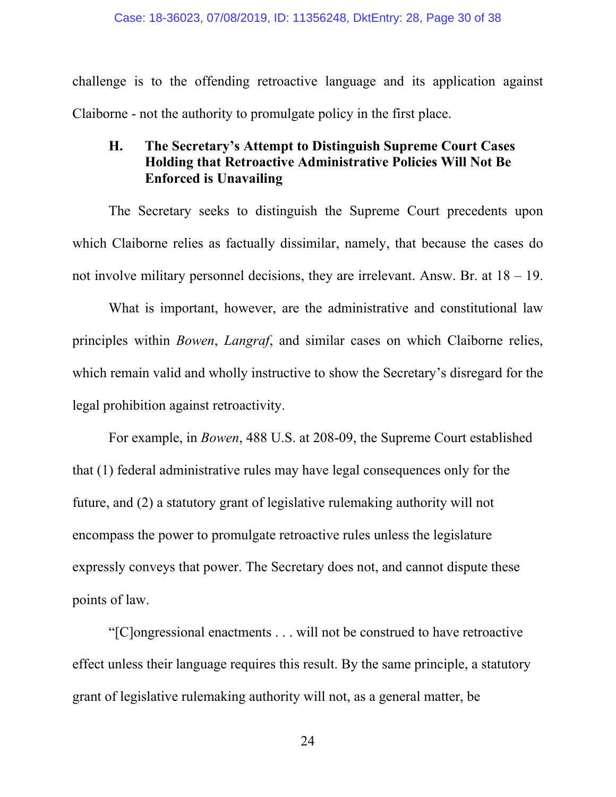challenge is to the offending retroactive language and its application against Claiborne - not the authority to promulgate policy in the first place.

## **H. The Secretary's Attempt to Distinguish Supreme Court Cases Holding that Retroactive Administrative Policies Will Not Be Enforced is Unavailing**

The Secretary seeks to distinguish the Supreme Court precedents upon which Claiborne relies as factually dissimilar, namely, that because the cases do not involve military personnel decisions, they are irrelevant. Answ. Br. at 18 – 19.

What is important, however, are the administrative and constitutional law principles within *Bowen*, *Langraf*, and similar cases on which Claiborne relies, which remain valid and wholly instructive to show the Secretary's disregard for the legal prohibition against retroactivity.

For example, in *Bowen*, 488 U.S. at 208-09, the Supreme Court established that (1) federal administrative rules may have legal consequences only for the future, and (2) a statutory grant of legislative rulemaking authority will not encompass the power to promulgate retroactive rules unless the legislature expressly conveys that power. The Secretary does not, and cannot dispute these points of law.

"[C]ongressional enactments . . . will not be construed to have retroactive effect unless their language requires this result. By the same principle, a statutory grant of legislative rulemaking authority will not, as a general matter, be

24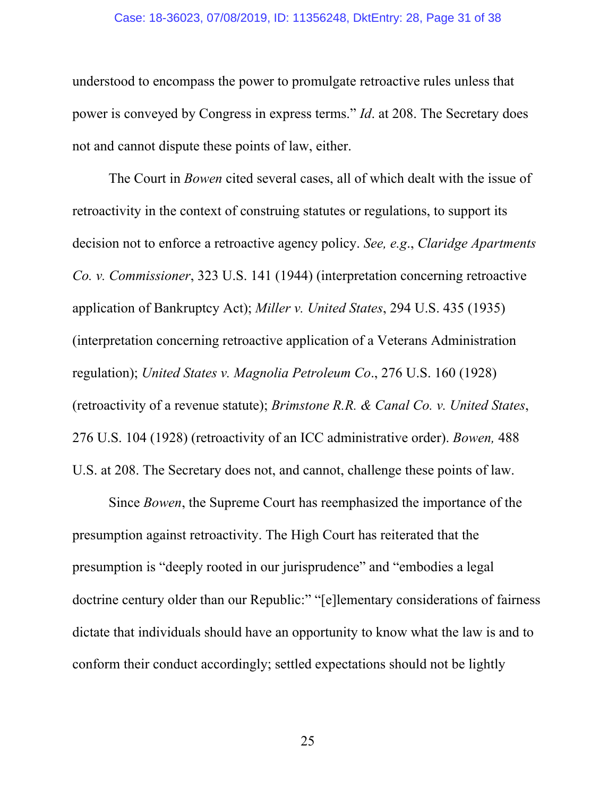#### Case: 18-36023, 07/08/2019, ID: 11356248, DktEntry: 28, Page 31 of 38

understood to encompass the power to promulgate retroactive rules unless that power is conveyed by Congress in express terms." *Id*. at 208. The Secretary does not and cannot dispute these points of law, either.

The Court in *Bowen* cited several cases, all of which dealt with the issue of retroactivity in the context of construing statutes or regulations, to support its decision not to enforce a retroactive agency policy. *See, e.g*., *Claridge Apartments Co. v. Commissioner*, 323 U.S. 141 (1944) (interpretation concerning retroactive application of Bankruptcy Act); *Miller v. United States*, 294 U.S. 435 (1935) (interpretation concerning retroactive application of a Veterans Administration regulation); *United States v. Magnolia Petroleum Co*., 276 U.S. 160 (1928) (retroactivity of a revenue statute); *Brimstone R.R. & Canal Co. v. United States*, 276 U.S. 104 (1928) (retroactivity of an ICC administrative order). *Bowen,* 488 U.S. at 208. The Secretary does not, and cannot, challenge these points of law.

Since *Bowen*, the Supreme Court has reemphasized the importance of the presumption against retroactivity. The High Court has reiterated that the presumption is "deeply rooted in our jurisprudence" and "embodies a legal doctrine century older than our Republic:" "[e]lementary considerations of fairness dictate that individuals should have an opportunity to know what the law is and to conform their conduct accordingly; settled expectations should not be lightly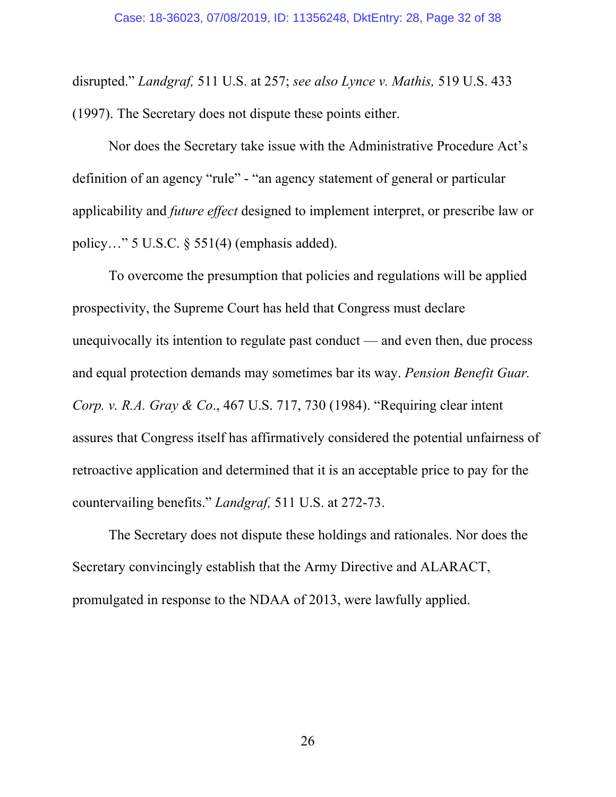disrupted." *Landgraf,* 511 U.S. at 257; *see also Lynce v. Mathis,* 519 U.S. 433 (1997). The Secretary does not dispute these points either.

Nor does the Secretary take issue with the Administrative Procedure Act's definition of an agency "rule" - "an agency statement of general or particular applicability and *future effect* designed to implement interpret, or prescribe law or policy..." 5 U.S.C.  $\S$  551(4) (emphasis added).

To overcome the presumption that policies and regulations will be applied prospectivity, the Supreme Court has held that Congress must declare unequivocally its intention to regulate past conduct — and even then, due process and equal protection demands may sometimes bar its way. *Pension Benefit Guar. Corp. v. R.A. Gray & Co*., 467 U.S. 717, 730 (1984). "Requiring clear intent assures that Congress itself has affirmatively considered the potential unfairness of retroactive application and determined that it is an acceptable price to pay for the countervailing benefits." *Landgraf,* 511 U.S. at 272-73.

The Secretary does not dispute these holdings and rationales. Nor does the Secretary convincingly establish that the Army Directive and ALARACT, promulgated in response to the NDAA of 2013, were lawfully applied.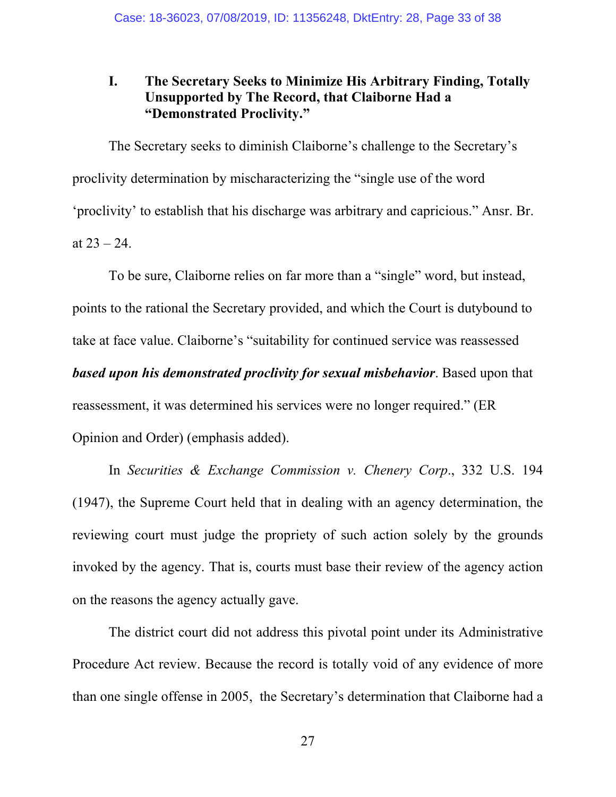## **I. The Secretary Seeks to Minimize His Arbitrary Finding, Totally Unsupported by The Record, that Claiborne Had a "Demonstrated Proclivity."**

The Secretary seeks to diminish Claiborne's challenge to the Secretary's proclivity determination by mischaracterizing the "single use of the word 'proclivity' to establish that his discharge was arbitrary and capricious." Ansr. Br. at  $23 - 24$ .

To be sure, Claiborne relies on far more than a "single" word, but instead, points to the rational the Secretary provided, and which the Court is dutybound to take at face value. Claiborne's "suitability for continued service was reassessed *based upon his demonstrated proclivity for sexual misbehavior*. Based upon that reassessment, it was determined his services were no longer required." (ER Opinion and Order) (emphasis added).

In *Securities & Exchange Commission v. Chenery Corp*., 332 U.S. 194 (1947), the Supreme Court held that in dealing with an agency determination, the reviewing court must judge the propriety of such action solely by the grounds invoked by the agency. That is, courts must base their review of the agency action on the reasons the agency actually gave.

The district court did not address this pivotal point under its Administrative Procedure Act review. Because the record is totally void of any evidence of more than one single offense in 2005, the Secretary's determination that Claiborne had a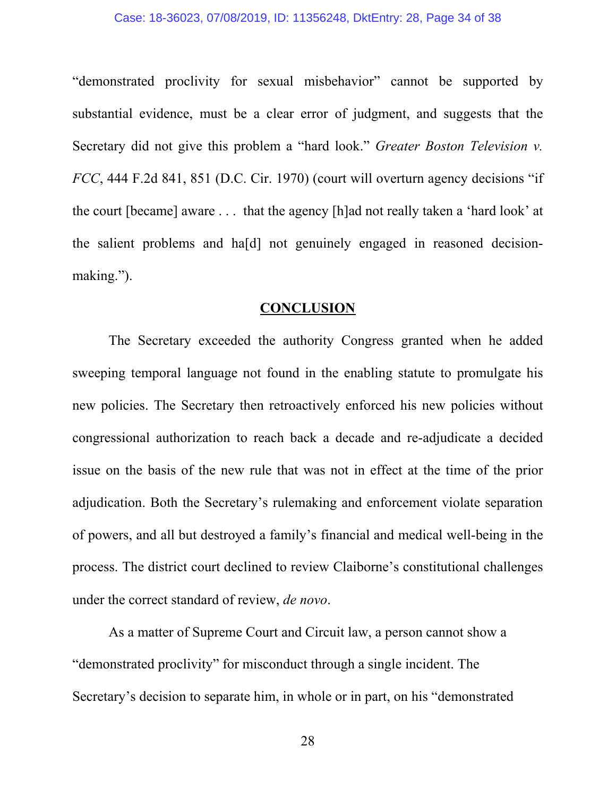#### Case: 18-36023, 07/08/2019, ID: 11356248, DktEntry: 28, Page 34 of 38

"demonstrated proclivity for sexual misbehavior" cannot be supported by substantial evidence, must be a clear error of judgment, and suggests that the Secretary did not give this problem a "hard look." *Greater Boston Television v. FCC*, 444 F.2d 841, 851 (D.C. Cir. 1970) (court will overturn agency decisions "if the court [became] aware . . . that the agency [h]ad not really taken a 'hard look' at the salient problems and ha[d] not genuinely engaged in reasoned decisionmaking.").

#### **CONCLUSION**

The Secretary exceeded the authority Congress granted when he added sweeping temporal language not found in the enabling statute to promulgate his new policies. The Secretary then retroactively enforced his new policies without congressional authorization to reach back a decade and re-adjudicate a decided issue on the basis of the new rule that was not in effect at the time of the prior adjudication. Both the Secretary's rulemaking and enforcement violate separation of powers, and all but destroyed a family's financial and medical well-being in the process. The district court declined to review Claiborne's constitutional challenges under the correct standard of review, *de novo*.

As a matter of Supreme Court and Circuit law, a person cannot show a "demonstrated proclivity" for misconduct through a single incident. The Secretary's decision to separate him, in whole or in part, on his "demonstrated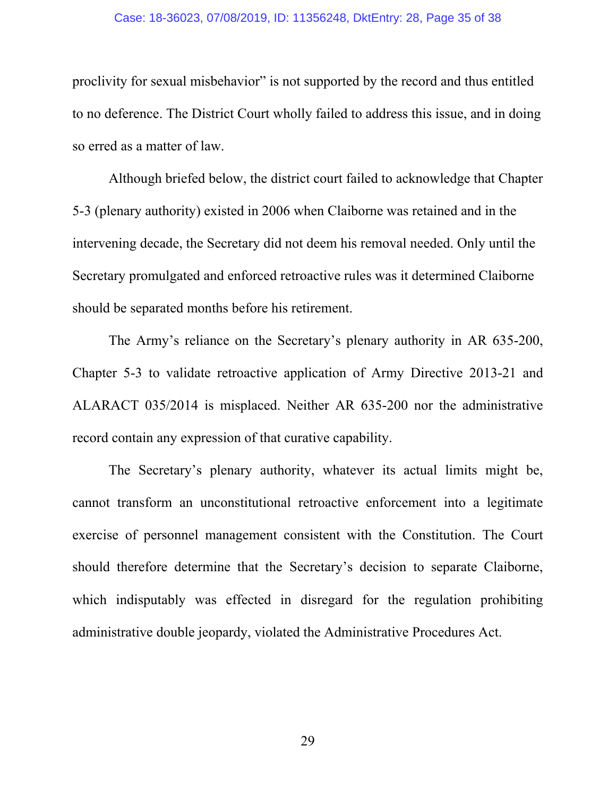#### Case: 18-36023, 07/08/2019, ID: 11356248, DktEntry: 28, Page 35 of 38

proclivity for sexual misbehavior" is not supported by the record and thus entitled to no deference. The District Court wholly failed to address this issue, and in doing so erred as a matter of law.

Although briefed below, the district court failed to acknowledge that Chapter 5-3 (plenary authority) existed in 2006 when Claiborne was retained and in the intervening decade, the Secretary did not deem his removal needed. Only until the Secretary promulgated and enforced retroactive rules was it determined Claiborne should be separated months before his retirement.

The Army's reliance on the Secretary's plenary authority in AR 635-200, Chapter 5-3 to validate retroactive application of Army Directive 2013-21 and ALARACT 035/2014 is misplaced. Neither AR 635-200 nor the administrative record contain any expression of that curative capability.

The Secretary's plenary authority, whatever its actual limits might be, cannot transform an unconstitutional retroactive enforcement into a legitimate exercise of personnel management consistent with the Constitution. The Court should therefore determine that the Secretary's decision to separate Claiborne, which indisputably was effected in disregard for the regulation prohibiting administrative double jeopardy, violated the Administrative Procedures Act.

29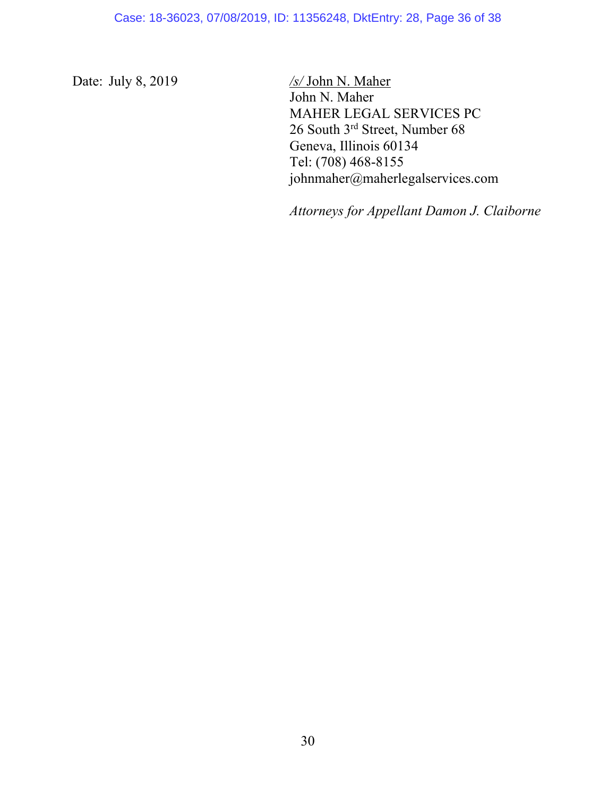Date: July 8, 2019 */s/* John N. Maher

John N. Maher MAHER LEGAL SERVICES PC 26 South 3rd Street, Number 68 Geneva, Illinois 60134 Tel: (708) 468-8155 johnmaher@maherlegalservices.com

*Attorneys for Appellant Damon J. Claiborne*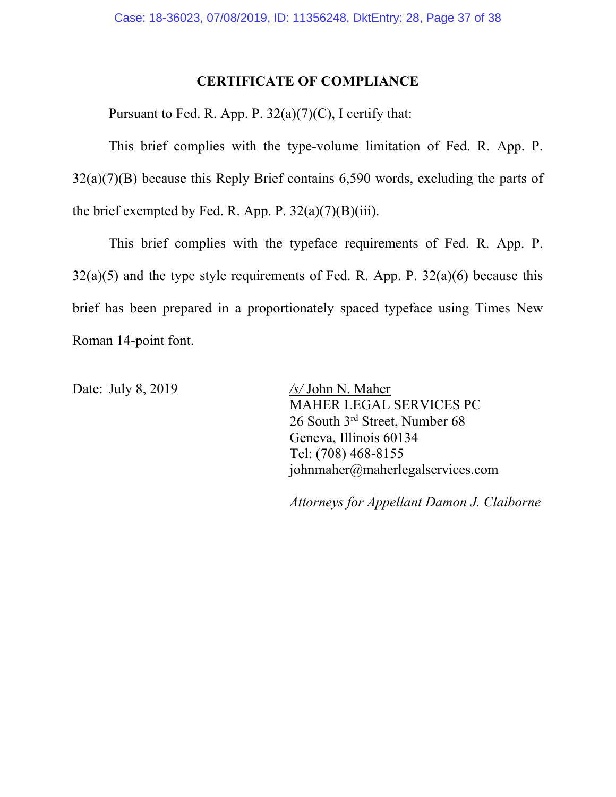## **CERTIFICATE OF COMPLIANCE**

Pursuant to Fed. R. App. P.  $32(a)(7)(C)$ , I certify that:

This brief complies with the type-volume limitation of Fed. R. App. P.  $32(a)(7)(B)$  because this Reply Brief contains 6,590 words, excluding the parts of the brief exempted by Fed. R. App. P.  $32(a)(7)(B)(iii)$ .

This brief complies with the typeface requirements of Fed. R. App. P.  $32(a)(5)$  and the type style requirements of Fed. R. App. P.  $32(a)(6)$  because this brief has been prepared in a proportionately spaced typeface using Times New Roman 14-point font.

Date: July 8, 2019 */s/* John N. Maher MAHER LEGAL SERVICES PC 26 South 3<sup>rd</sup> Street, Number 68 Geneva, Illinois 60134 Tel: (708) 468-8155 johnmaher@maherlegalservices.com

*Attorneys for Appellant Damon J. Claiborne*